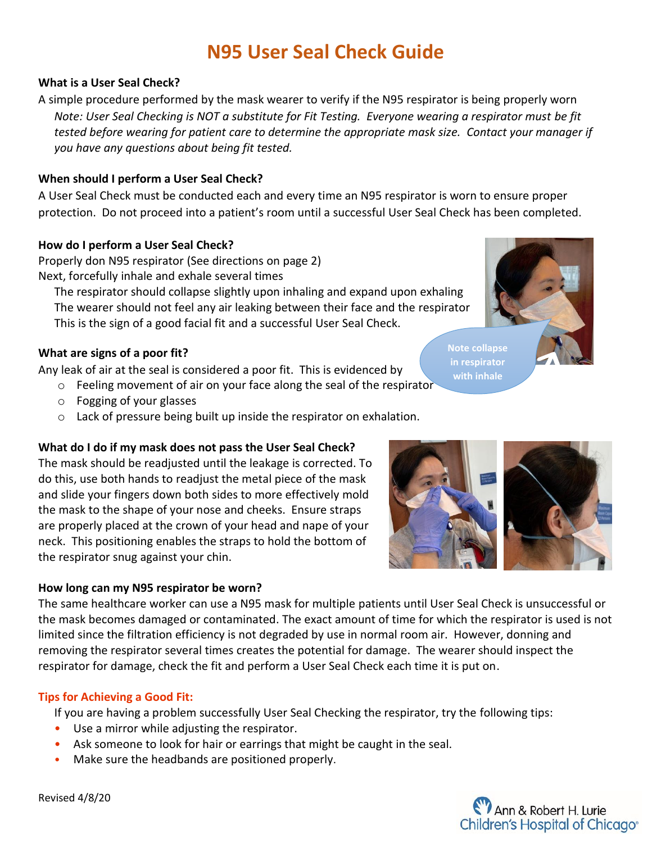# **N95 User Seal Check Guide**

# **What is a User Seal Check?**

A simple procedure performed by the mask wearer to verify if the N95 respirator is being properly worn *Note: User Seal Checking is NOT a substitute for Fit Testing. Everyone wearing a respirator must be fit tested before wearing for patient care to determine the appropriate mask size. Contact your manager if you have any questions about being fit tested.* 

## **When should I perform a User Seal Check?**

A User Seal Check must be conducted each and every time an N95 respirator is worn to ensure proper protection. Do not proceed into a patient's room until a successful User Seal Check has been completed.

### **How do I perform a User Seal Check?**

Properly don N95 respirator (See directions on page 2) Next, forcefully inhale and exhale several times

The respirator should collapse slightly upon inhaling and expand upon exhaling The wearer should not feel any air leaking between their face and the respirator This is the sign of a good facial fit and a successful User Seal Check.

### **What are signs of a poor fit?**

Any leak of air at the seal is considered a poor fit. This is evidenced by

- o Feeling movement of air on your face along the seal of the respirator
- o Fogging of your glasses
- o Lack of pressure being built up inside the respirator on exhalation.

### **What do I do if my mask does not pass the User Seal Check?**

The mask should be readjusted until the leakage is corrected. To do this, use both hands to readjust the metal piece of the mask and slide your fingers down both sides to more effectively mold the mask to the shape of your nose and cheeks. Ensure straps are properly placed at the crown of your head and nape of your neck. This positioning enables the straps to hold the bottom of the respirator snug against your chin.

### **How long can my N95 respirator be worn?**

The same healthcare worker can use a N95 mask for multiple patients until User Seal Check is unsuccessful or the mask becomes damaged or contaminated. The exact amount of time for which the respirator is used is not limited since the filtration efficiency is not degraded by use in normal room air. However, donning and removing the respirator several times creates the potential for damage. The wearer should inspect the respirator for damage, check the fit and perform a User Seal Check each time it is put on.

### **Tips for Achieving a Good Fit:**

If you are having a problem successfully User Seal Checking the respirator, try the following tips:

- Use a mirror while adjusting the respirator.
- Ask someone to look for hair or earrings that might be caught in the seal.
- Make sure the headbands are positioned properly.

Revised 4/8/20



**Note collapse in respirator with inhale**